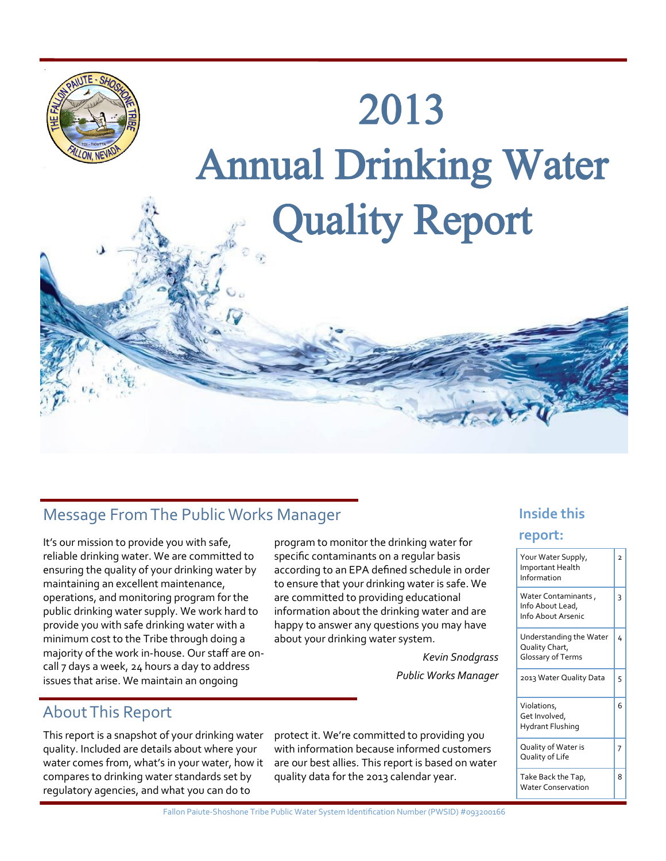

## **Message From The Public Works Manager Message From The Public Works Manager** Message of the **Inside this**

It's our mission to provide you with safe, reliable drinking water. We are committed to ensuring the quality of your drinking water by maintaining an excellent maintenance, operations, and monitoring program for the public drinking water supply. We work hard to provide you with safe drinking water with a minimum cost to the Tribe through doing a majority of the work in-house. Our staff are oncall 7 days a week, 24 hours a day to address issues that arise. We maintain an ongoing

program to monitor the drinking water for specific contaminants on a regular basis according to an EPA defined schedule in order to ensure that your drinking water is safe. We are committed to providing educational information about the drinking water and are happy to answer any questions you may have about your drinking water system.

> *Kevin Snodgrass Public Works Manager*

## About This Report

This report is a snapshot of your drinking water quality. Included are details about where your water comes from, what's in your water, how it compares to drinking water standards set by regulatory agencies, and what you can do to

protect it. We're committed to providing you with information because informed customers are our best allies. This report is based on water quality data for the 2013 calendar year.

#### **report:**

| Your Water Supply,<br>Important Health<br>Information          | $\overline{z}$ |
|----------------------------------------------------------------|----------------|
| Water Contaminants,<br>Info About Lead,<br>Info About Arsenic  | 3              |
| Understanding the Water<br>Quality Chart,<br>Glossary of Terms | 4              |
| 2013 Water Quality Data                                        | 5              |
| Violations,<br>Get Involved,<br><b>Hydrant Flushing</b>        | 6              |
| Quality of Water is<br>Quality of Life                         | 7              |
| Take Back the Tap,<br><b>Water Conservation</b>                | 8              |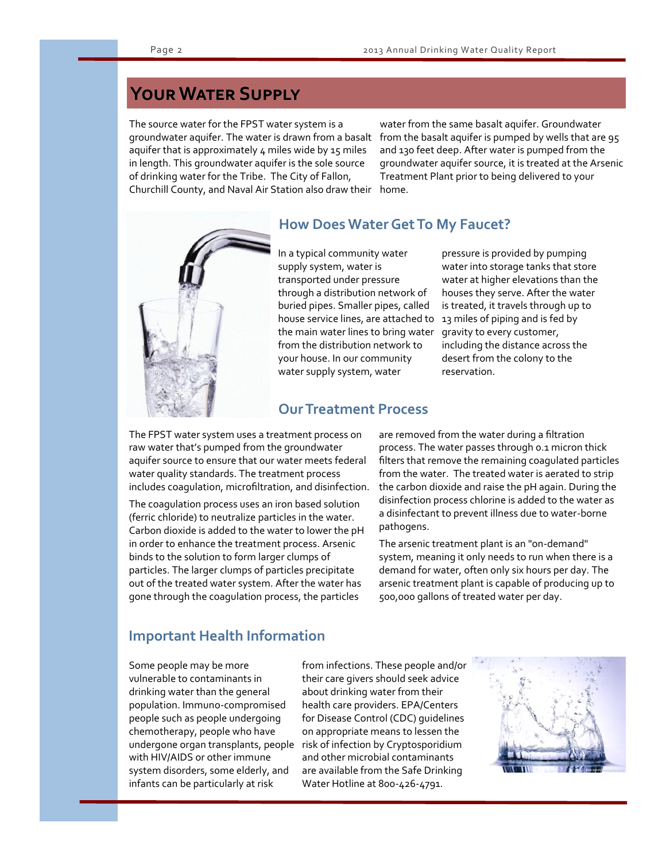## **Your Water Supply**

The source water for the FPST water system is a groundwater aquifer. The water is drawn from a basalt aquifer that is approximately  $4$  miles wide by 15 miles in length. This groundwater aquifer is the sole source of drinking water for the Tribe. The City of Fallon, Churchill County, and Naval Air Station also draw their

water from the same basalt aquifer. Groundwater from the basalt aquifer is pumped by wells that are 95 and 130 feet deep. After water is pumped from the groundwater aquifer source, it is treated at the Arsenic Treatment Plant prior to being delivered to your home.



#### **How Does Water Get To My Faucet?**

In a typical community water supply system, water is transported under pressure through a distribution network of buried pipes. Smaller pipes, called house service lines, are attached to the main water lines to bring water from the distribution network to your house. In our community water supply system, water

pressure is provided by pumping water into storage tanks that store water at higher elevations than the houses they serve. After the water is treated, it travels through up to 13 miles of piping and is fed by gravity to every customer, including the distance across the desert from the colony to the reservation.

#### **Our Treatment Process**

The FPST water system uses a treatment process on raw water that's pumped from the groundwater aquifer source to ensure that our water meets federal water quality standards. The treatment process includes coagulation, microfiltration, and disinfection.

The coagulation process uses an iron based solution (ferric chloride) to neutralize particles in the water. Carbon dioxide is added to the water to lower the pH in order to enhance the treatment process. Arsenic binds to the solution to form larger clumps of particles. The larger clumps of particles precipitate out of the treated water system. After the water has gone through the coagulation process, the particles

are removed from the water during a filtration process. The water passes through 0.1 micron thick filters that remove the remaining coagulated particles from the water. The treated water is aerated to strip the carbon dioxide and raise the pH again. During the disinfection process chlorine is added to the water as a disinfectant to prevent illness due to water-borne pathogens.

The arsenic treatment plant is an "on-demand" system, meaning it only needs to run when there is a demand for water, often only six hours per day. The arsenic treatment plant is capable of producing up to 500,000 gallons of treated water per day.

#### **Important Health Information**

Some people may be more vulnerable to contaminants in drinking water than the general population. Immuno-compromised people such as people undergoing chemotherapy, people who have undergone organ transplants, people with HIV/AIDS or other immune system disorders, some elderly, and infants can be particularly at risk

from infections. These people and/or their care givers should seek advice about drinking water from their health care providers. EPA/Centers for Disease Control (CDC) guidelines on appropriate means to lessen the risk of infection by Cryptosporidium and other microbial contaminants are available from the Safe Drinking Water Hotline at 800-426-4791.

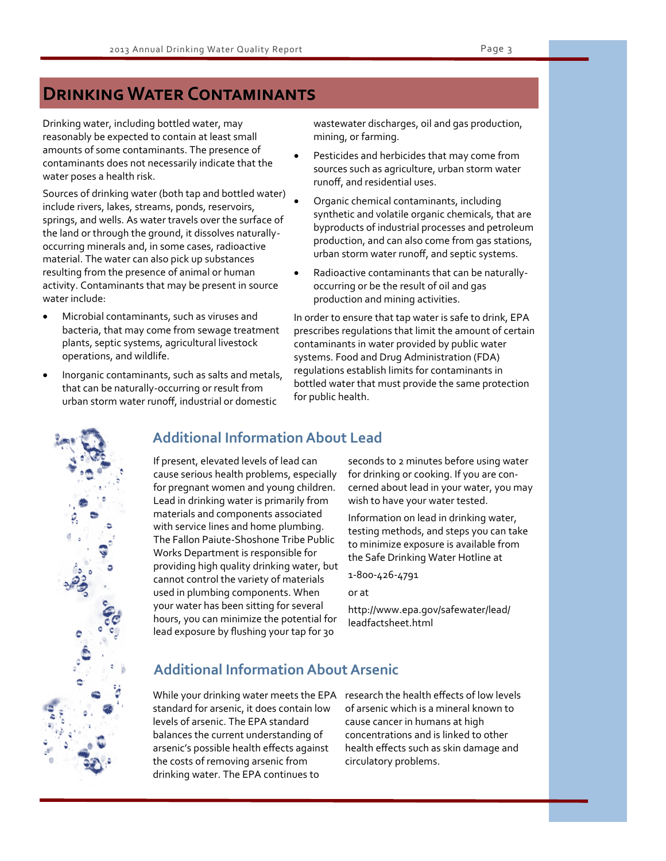#### **Drinking Water Contaminants**

Drinking water, including bottled water, may reasonably be expected to contain at least small amounts of some contaminants. The presence of contaminants does not necessarily indicate that the water poses a health risk.

Sources of drinking water (both tap and bottled water) include rivers, lakes, streams, ponds, reservoirs, springs, and wells. As water travels over the surface of the land or through the ground, it dissolves naturallyoccurring minerals and, in some cases, radioactive material. The water can also pick up substances resulting from the presence of animal or human activity. Contaminants that may be present in source water include:

- Microbial contaminants, such as viruses and bacteria, that may come from sewage treatment plants, septic systems, agricultural livestock operations, and wildlife.
- Inorganic contaminants, such as salts and metals, that can be naturally-occurring or result from urban storm water runoff, industrial or domestic

wastewater discharges, oil and gas production, mining, or farming.

- Pesticides and herbicides that may come from sources such as agriculture, urban storm water runoff, and residential uses.
- Organic chemical contaminants, including synthetic and volatile organic chemicals, that are byproducts of industrial processes and petroleum production, and can also come from gas stations, urban storm water runoff, and septic systems.
- Radioactive contaminants that can be naturallyoccurring or be the result of oil and gas production and mining activities.

In order to ensure that tap water is safe to drink, EPA prescribes regulations that limit the amount of certain contaminants in water provided by public water systems. Food and Drug Administration (FDA) regulations establish limits for contaminants in bottled water that must provide the same protection for public health.



#### **Additional Information About Lead**

If present, elevated levels of lead can cause serious health problems, especially for pregnant women and young children. Lead in drinking water is primarily from materials and components associated with service lines and home plumbing. The Fallon Paiute-Shoshone Tribe Public Works Department is responsible for providing high quality drinking water, but cannot control the variety of materials used in plumbing components. When your water has been sitting for several hours, you can minimize the potential for lead exposure by flushing your tap for 30

seconds to 2 minutes before using water for drinking or cooking. If you are concerned about lead in your water, you may wish to have your water tested.

Information on lead in drinking water, testing methods, and steps you can take to minimize exposure is available from the Safe Drinking Water Hotline at

1-800-426-4791

or at

http://www.epa.gov/safewater/lead/ leadfactsheet.html

#### **Additional Information About Arsenic**

While your drinking water meets the EPA research the health effects of low levels standard for arsenic, it does contain low levels of arsenic. The EPA standard balances the current understanding of arsenic's possible health effects against the costs of removing arsenic from drinking water. The EPA continues to

of arsenic which is a mineral known to cause cancer in humans at high concentrations and is linked to other health effects such as skin damage and circulatory problems.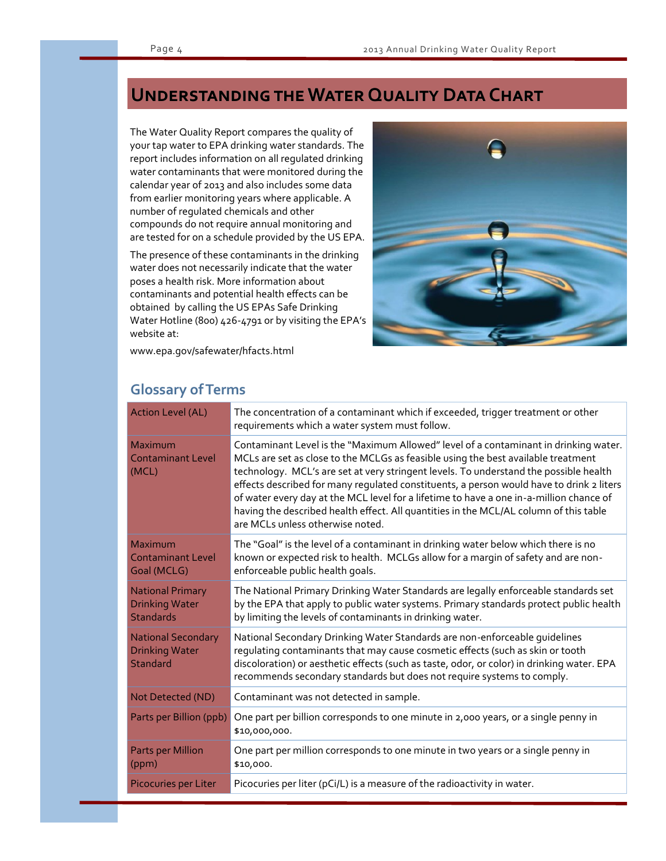## **UNDERSTANDING THE WATER QUALITY DATA CHART**

The Water Quality Report compares the quality of your tap water to EPA drinking water standards. The report includes information on all regulated drinking water contaminants that were monitored during the calendar year of 2013 and also includes some data from earlier monitoring years where applicable. A number of regulated chemicals and other compounds do not require annual monitoring and are tested for on a schedule provided by the US EPA.

The presence of these contaminants in the drinking water does not necessarily indicate that the water poses a health risk. More information about contaminants and potential health effects can be obtained by calling the US EPAs Safe Drinking Water Hotline (800) 426-4791 or by visiting the EPA's website at:



www.epa.gov/safewater/hfacts.html

#### **Glossary of Terms**

| <b>Action Level (AL)</b>                                              | The concentration of a contaminant which if exceeded, trigger treatment or other<br>requirements which a water system must follow.                                                                                                                                                                                                                                                                                                                                                                                                                                                     |
|-----------------------------------------------------------------------|----------------------------------------------------------------------------------------------------------------------------------------------------------------------------------------------------------------------------------------------------------------------------------------------------------------------------------------------------------------------------------------------------------------------------------------------------------------------------------------------------------------------------------------------------------------------------------------|
| Maximum<br><b>Contaminant Level</b><br>(MCL)                          | Contaminant Level is the "Maximum Allowed" level of a contaminant in drinking water.<br>MCLs are set as close to the MCLGs as feasible using the best available treatment<br>technology. MCL's are set at very stringent levels. To understand the possible health<br>effects described for many regulated constituents, a person would have to drink 2 liters<br>of water every day at the MCL level for a lifetime to have a one in-a-million chance of<br>having the described health effect. All quantities in the MCL/AL column of this table<br>are MCLs unless otherwise noted. |
| Maximum<br><b>Contaminant Level</b><br>Goal (MCLG)                    | The "Goal" is the level of a contaminant in drinking water below which there is no<br>known or expected risk to health. MCLGs allow for a margin of safety and are non-<br>enforceable public health goals.                                                                                                                                                                                                                                                                                                                                                                            |
| <b>National Primary</b><br><b>Drinking Water</b><br><b>Standards</b>  | The National Primary Drinking Water Standards are legally enforceable standards set<br>by the EPA that apply to public water systems. Primary standards protect public health<br>by limiting the levels of contaminants in drinking water.                                                                                                                                                                                                                                                                                                                                             |
| <b>National Secondary</b><br><b>Drinking Water</b><br><b>Standard</b> | National Secondary Drinking Water Standards are non-enforceable guidelines<br>regulating contaminants that may cause cosmetic effects (such as skin or tooth<br>discoloration) or aesthetic effects (such as taste, odor, or color) in drinking water. EPA<br>recommends secondary standards but does not require systems to comply.                                                                                                                                                                                                                                                   |
| Not Detected (ND)                                                     | Contaminant was not detected in sample.                                                                                                                                                                                                                                                                                                                                                                                                                                                                                                                                                |
| Parts per Billion (ppb)                                               | One part per billion corresponds to one minute in 2,000 years, or a single penny in<br>\$10,000,000.                                                                                                                                                                                                                                                                                                                                                                                                                                                                                   |
| <b>Parts per Million</b><br>(ppm)                                     | One part per million corresponds to one minute in two years or a single penny in<br>\$10,000.                                                                                                                                                                                                                                                                                                                                                                                                                                                                                          |
| <b>Picocuries per Liter</b>                                           | Picocuries per liter (pCi/L) is a measure of the radioactivity in water.                                                                                                                                                                                                                                                                                                                                                                                                                                                                                                               |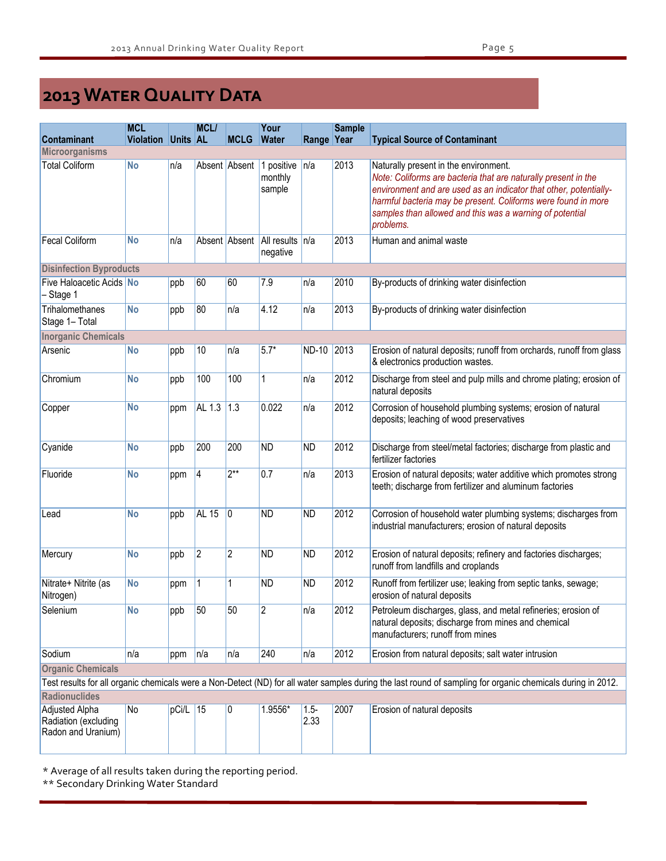# **2013 Water Quality Data**

|                                                                                                                                                             | <b>MCL</b>       |                 | MCL/         |                | Your                                      |                 | <b>Sample</b> |                                                                                                                                                                                                                                                                                                                        |  |
|-------------------------------------------------------------------------------------------------------------------------------------------------------------|------------------|-----------------|--------------|----------------|-------------------------------------------|-----------------|---------------|------------------------------------------------------------------------------------------------------------------------------------------------------------------------------------------------------------------------------------------------------------------------------------------------------------------------|--|
| <b>Contaminant</b>                                                                                                                                          | <b>Violation</b> | <b>Units AL</b> |              | <b>MCLG</b>    | <b>Water</b>                              | Range Year      |               | <b>Typical Source of Contaminant</b>                                                                                                                                                                                                                                                                                   |  |
| <b>Microorganisms</b>                                                                                                                                       |                  |                 |              |                |                                           |                 |               |                                                                                                                                                                                                                                                                                                                        |  |
| <b>Total Coliform</b>                                                                                                                                       | <b>No</b>        | n/a             |              | Absent Absent  | 1 positive<br>monthly<br>sample           | n/a             | 2013          | Naturally present in the environment.<br>Note: Coliforms are bacteria that are naturally present in the<br>environment and are used as an indicator that other, potentially-<br>harmful bacteria may be present. Coliforms were found in more<br>samples than allowed and this was a warning of potential<br>problems. |  |
| <b>Fecal Coliform</b>                                                                                                                                       | <b>No</b>        | n/a             |              |                | Absent Absent All results n/a<br>negative |                 | 2013          | Human and animal waste                                                                                                                                                                                                                                                                                                 |  |
| <b>Disinfection Byproducts</b>                                                                                                                              |                  |                 |              |                |                                           |                 |               |                                                                                                                                                                                                                                                                                                                        |  |
| Five Haloacetic Acids No<br>Stage 1                                                                                                                         |                  | ppb             | 60           | 60             | 7.9                                       | n/a             | 2010          | By-products of drinking water disinfection                                                                                                                                                                                                                                                                             |  |
| Trihalomethanes<br>Stage 1- Total                                                                                                                           | <b>No</b>        | ppb             | 80           | n/a            | 4.12                                      | n/a             | 2013          | By-products of drinking water disinfection                                                                                                                                                                                                                                                                             |  |
| <b>Inorganic Chemicals</b>                                                                                                                                  |                  |                 |              |                |                                           |                 |               |                                                                                                                                                                                                                                                                                                                        |  |
| Arsenic                                                                                                                                                     | <b>No</b>        | ppb             | 10           | n/a            | $5.7*$                                    | ND-10 2013      |               | Erosion of natural deposits; runoff from orchards, runoff from glass<br>& electronics production wastes.                                                                                                                                                                                                               |  |
| Chromium                                                                                                                                                    | <b>No</b>        | ppb             | 100          | 100            | 1                                         | n/a             | 2012          | Discharge from steel and pulp mills and chrome plating; erosion of<br>natural deposits                                                                                                                                                                                                                                 |  |
| Copper                                                                                                                                                      | <b>No</b>        | ppm             | AL 1.3       | 1.3            | 0.022                                     | n/a             | 2012          | Corrosion of household plumbing systems; erosion of natural<br>deposits; leaching of wood preservatives                                                                                                                                                                                                                |  |
| Cyanide                                                                                                                                                     | <b>No</b>        | ppb             | 200          | 200            | <b>ND</b>                                 | <b>ND</b>       | 2012          | Discharge from steel/metal factories; discharge from plastic and<br>fertilizer factories                                                                                                                                                                                                                               |  |
| Fluoride                                                                                                                                                    | <b>No</b>        | ppm             | 4            | $2**$          | 0.7                                       | n/a             | 2013          | Erosion of natural deposits; water additive which promotes strong<br>teeth; discharge from fertilizer and aluminum factories                                                                                                                                                                                           |  |
| Lead                                                                                                                                                        | <b>No</b>        | ppb             | <b>AL 15</b> | 10             | <b>ND</b>                                 | <b>ND</b>       | 2012          | Corrosion of household water plumbing systems; discharges from<br>industrial manufacturers; erosion of natural deposits                                                                                                                                                                                                |  |
| Mercury                                                                                                                                                     | <b>No</b>        | ppb             | $ 2\rangle$  | $\overline{c}$ | <b>ND</b>                                 | <b>ND</b>       | 2012          | Erosion of natural deposits; refinery and factories discharges;<br>runoff from landfills and croplands                                                                                                                                                                                                                 |  |
| Nitrate+ Nitrite (as<br>Nitrogen)                                                                                                                           | <b>No</b>        | ppm             | 1            | 1              | <b>ND</b>                                 | <b>ND</b>       | 2012          | Runoff from fertilizer use; leaking from septic tanks, sewage;<br>erosion of natural deposits                                                                                                                                                                                                                          |  |
| Selenium                                                                                                                                                    | <b>No</b>        | ppb             | 50           | 50             | $\overline{2}$                            | n/a             | 2012          | Petroleum discharges, glass, and metal refineries; erosion of<br>natural deposits; discharge from mines and chemical<br>manufacturers; runoff from mines                                                                                                                                                               |  |
| Sodium                                                                                                                                                      | n/a              | ppm             | n/a          | n/a            | 240                                       | n/a             | 2012          | Erosion from natural deposits; salt water intrusion                                                                                                                                                                                                                                                                    |  |
| <b>Organic Chemicals</b>                                                                                                                                    |                  |                 |              |                |                                           |                 |               |                                                                                                                                                                                                                                                                                                                        |  |
| Test results for all organic chemicals were a Non-Detect (ND) for all water samples during the last round of sampling for organic chemicals during in 2012. |                  |                 |              |                |                                           |                 |               |                                                                                                                                                                                                                                                                                                                        |  |
| <b>Radionuclides</b>                                                                                                                                        |                  |                 |              |                |                                           |                 |               |                                                                                                                                                                                                                                                                                                                        |  |
| <b>Adjusted Alpha</b><br>Radiation (excluding<br>Radon and Uranium)                                                                                         | No               | $pCi/L$ 15      |              | 10             | 1.9556*                                   | $1.5 -$<br>2.33 | 2007          | Erosion of natural deposits                                                                                                                                                                                                                                                                                            |  |

\* Average of all results taken during the reporting period.

\*\* Secondary Drinking Water Standard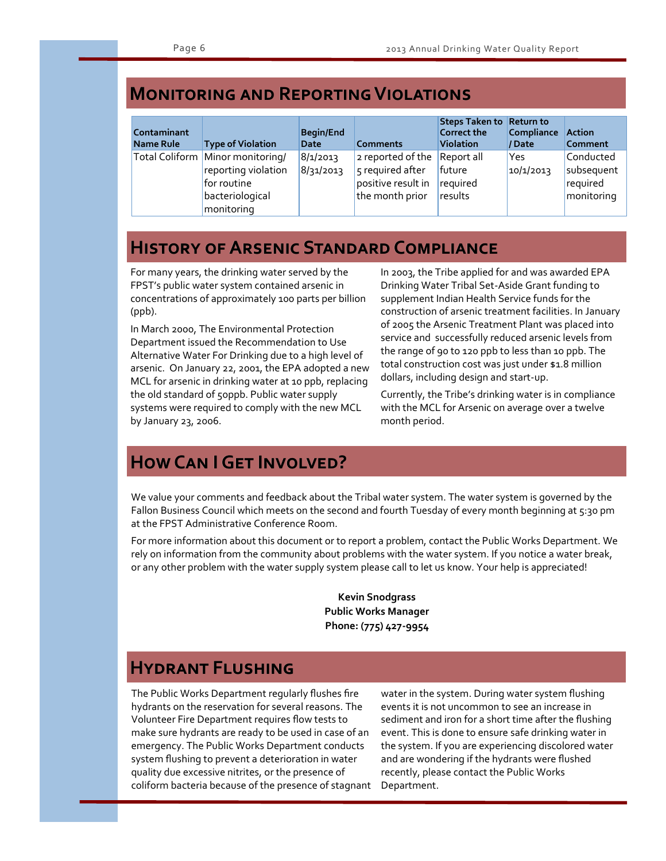#### **Monitoring and Reporting Violations**

| Contaminant<br>Name Rule | <b>Type of Violation</b>                                                                                | <b>Begin/End</b><br>Date | <b>Comments</b>                                                                | Steps Taken to Return to<br><b>Correct the</b><br><b>Violation</b> | Compliance<br>// Date | <b>Action</b><br><b>Comment</b>                   |
|--------------------------|---------------------------------------------------------------------------------------------------------|--------------------------|--------------------------------------------------------------------------------|--------------------------------------------------------------------|-----------------------|---------------------------------------------------|
|                          | Total Coliform Minor monitoring/<br>reporting violation<br>for routine<br>bacteriological<br>monitoring | 8/1/2013<br>8/31/2013    | 2 reported of the<br>5 required after<br>positive result in<br>the month prior | Report all<br>future<br>required<br>results                        | Yes<br>10/1/2013      | Conducted<br>subsequent<br>required<br>monitoring |

## **History of Arsenic Standard Compliance**

For many years, the drinking water served by the FPST's public water system contained arsenic in concentrations of approximately 100 parts per billion (ppb).

In March 2000, The Environmental Protection Department issued the Recommendation to Use Alternative Water For Drinking due to a high level of arsenic. On January 22, 2001, the EPA adopted a new MCL for arsenic in drinking water at 10 ppb, replacing the old standard of 50ppb. Public water supply systems were required to comply with the new MCL by January 23, 2006.

In 2003, the Tribe applied for and was awarded EPA Drinking Water Tribal Set-Aside Grant funding to supplement Indian Health Service funds for the construction of arsenic treatment facilities. In January of 2005 the Arsenic Treatment Plant was placed into service and successfully reduced arsenic levels from the range of 90 to 120 ppb to less than 10 ppb. The total construction cost was just under \$1.8 million dollars, including design and start-up.

Currently, the Tribe's drinking water is in compliance with the MCL for Arsenic on average over a twelve month period.

## **HOW CAN I GET INVOLVED?**

We value your comments and feedback about the Tribal water system. The water system is governed by the Fallon Business Council which meets on the second and fourth Tuesday of every month beginning at 5:30 pm at the FPST Administrative Conference Room.

For more information about this document or to report a problem, contact the Public Works Department. We rely on information from the community about problems with the water system. If you notice a water break, or any other problem with the water supply system please call to let us know. Your help is appreciated!

> **Kevin Snodgrass Public Works Manager Phone: (775) 427-9954**

#### **Hydrant Flushing**

The Public Works Department regularly flushes fire hydrants on the reservation for several reasons. The Volunteer Fire Department requires flow tests to make sure hydrants are ready to be used in case of an emergency. The Public Works Department conducts system flushing to prevent a deterioration in water quality due excessive nitrites, or the presence of coliform bacteria because of the presence of stagnant

water in the system. During water system flushing events it is not uncommon to see an increase in sediment and iron for a short time after the flushing event. This is done to ensure safe drinking water in the system. If you are experiencing discolored water and are wondering if the hydrants were flushed recently, please contact the Public Works Department.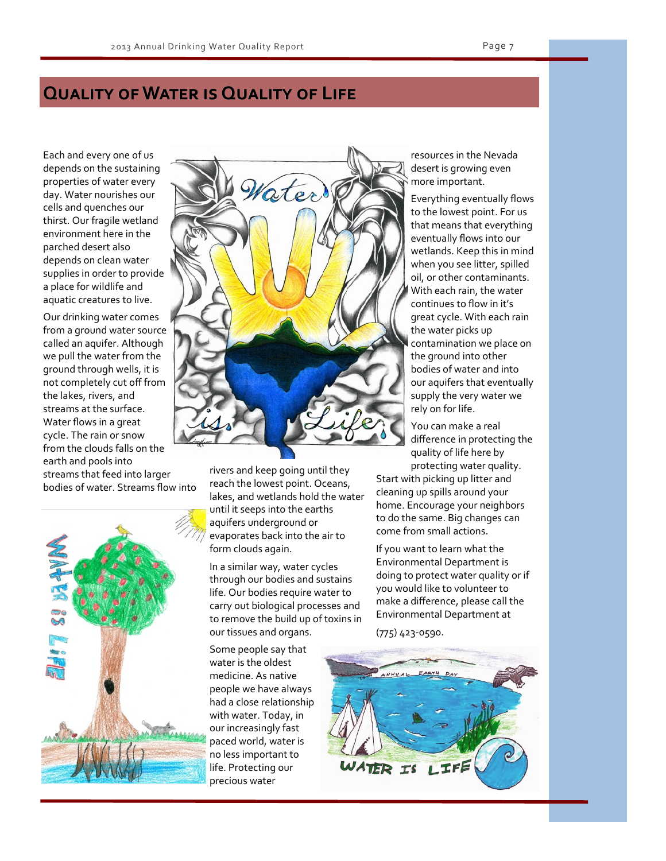#### **Quality of Water is Quality of Life**

Each and every one of us depends on the sustaining properties of water every day. Water nourishes our cells and quenches our thirst. Our fragile wetland environment here in the parched desert also depends on clean water supplies in order to provide a place for wildlife and aquatic creatures to live.

Our drinking water comes from a ground water source called an aquifer. Although we pull the water from the ground through wells, it is not completely cut off from the lakes, rivers, and streams at the surface. Water flows in a great cycle. The rain or snow from the clouds falls on the earth and pools into streams that feed into larger bodies of water. Streams flow into





rivers and keep going until they reach the lowest point. Oceans, lakes, and wetlands hold the water until it seeps into the earths aquifers underground or evaporates back into the air to form clouds again.

In a similar way, water cycles through our bodies and sustains life. Our bodies require water to carry out biological processes and to remove the build up of toxins in our tissues and organs.

Some people say that water is the oldest medicine. As native people we have always had a close relationship with water. Today, in our increasingly fast paced world, water is no less important to life. Protecting our precious water

resources in the Nevada desert is growing even more important.

Everything eventually flows to the lowest point. For us that means that everything eventually flows into our wetlands. Keep this in mind when you see litter, spilled oil, or other contaminants. With each rain, the water continues to flow in it's great cycle. With each rain the water picks up contamination we place on the ground into other bodies of water and into our aquifers that eventually supply the very water we rely on for life.

You can make a real difference in protecting the quality of life here by protecting water quality.

Start with picking up litter and cleaning up spills around your home. Encourage your neighbors to do the same. Big changes can come from small actions.

If you want to learn what the Environmental Department is doing to protect water quality or if you would like to volunteer to make a difference, please call the Environmental Department at

(775) 423-0590.